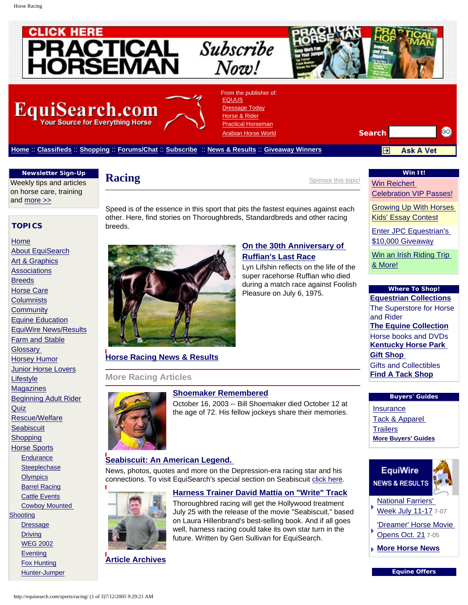Horse Racing

<span id="page-0-0"></span>

 **TOPICS**

[About EquiSearch](http://equisearch.com/about/) [Art & Graphics](http://equisearch.com/artgraphics/) **[Associations](http://equisearch.com/assoc/)** [Breeds](http://equisearch.com/breeds/) [Horse Care](http://equisearch.com/care/) **[Columnists](http://equisearch.com/columnists/) [Community](http://equisearch.com/community/)** [Equine Education](http://equisearch.com/education/) [EquiWire News/Results](http://equisearch.com/equiwire/) [Farm and Stable](http://equisearch.com/farm/) **[Glossary](http://equisearch.com/glossary/)** [Horsey Humor](http://equisearch.com/humor/) [Junior Horse Lovers](http://equisearch.com/juniors/)

[Home](http://equisearch.com/)

**[Lifestyle](http://equisearch.com/lifestyle/) [Magazines](http://equisearch.com/magazines/)** 

**[Quiz](http://equisearch.com/quiz/)** 

**[Shooting](http://equisearch.com/sports/cowboyshooting/)** 

**[Dressage](http://equisearch.com/sports/dressage/) [Driving](http://equisearch.com/sports/driving/)**  [WEG 2002](http://equisearch.com/sports/weg/) **[Eventing](http://equisearch.com/sports/eventing/)**  [Fox Hunting](http://equisearch.com/sports/foxhunting/) [Hunter-Jumper](http://equisearch.com/sports/hunterjumper/)

[Beginning Adult Rider](http://equisearch.com/novice/)

[Rescue/Welfare](http://equisearch.com/rescue/) **[Seabiscuit](http://equisearch.com/seabiscuit/)** [Shopping](http://equisearch.com/shop/) [Horse Sports](http://equisearch.com/sports/) **[Endurance](http://equisearch.com/sports/endurance/) [Steeplechase](http://equisearch.com/sports/steeplechase/) [Olympics](http://equisearch.com/sports/olympics2004/)**  [Barrel Racing](http://equisearch.com/sports/barrel/) **[Cattle Events](http://equisearch.com/sports/cattle/)** [Cowboy Mounted](http://equisearch.com/sports/cowboyshooting/)

**Racing** [Sponsor this topic!](http://equisearch.com/about/advertise/sponsorinfo)

[Win Reichert](http://www.equisearch.com/special/sweeps/reichert)  [Celebration VIP Passes!](http://www.equisearch.com/special/sweeps/reichert)

**Win It!**

[Growing Up With Horses](http://www.equisearch.com/special/sweeps/GUWH/index.html) [Kids' Essay Contest](http://www.equisearch.com/special/sweeps/GUWH/index.html)

[Enter JPC Equestrian's](http://www.breeches.com/jpcequestrian/giveaway/signup.htm) [\\$10,000 Giveaway](http://www.breeches.com/jpcequestrian/giveaway/signup.htm)

[Win an Irish Riding Trip](http://www.equisearch.com/special/sweeps/ireland) [& More!](http://www.equisearch.com/special/sweeps/ireland)

# **Where To Shop!**

**[Equestrian Collections](http://ad.doubleclick.net/clk;5636919;5985347;f?http://www.equestriancollections.com)** The Superstore for Horse and Rider **[The Equine Collection](http://ad.doubleclick.net/clk;5636925;5985347;c?http://www.theequinecollection.com)** Horse books and DVDs **[Kentucky Horse Park](http://ad.doubleclick.net/clk;8146745;5985347;b?http://www.kygiftshop.com/)  [Gift Shop](http://ad.doubleclick.net/clk;8146745;5985347;b?http://www.kygiftshop.com/)**  Gifts and Collectibles **[Find A Tack Shop](http://ad.doubleclick.net/clk;7607833;5985347;a?http://equisearchstore.com/tack_shops/index.php)**

## **Buyers' Guides**

[Insurance](http://ad.doubleclick.net/clk;7489960;5985347;j?http://special.equisearch.com/insurance/index.htm) [Tack & Apparel](http://ad.doubleclick.net/clk;8609010;5985347;q?http://special.equisearch.com/tack_apparel/)  **[Trailers](http://ad.doubleclick.net/clk;7489956;5985347;o?http://special.equisearch.com/trailers/index.htm) [More Buyers' Guides](http://equisearch.com/shop/buyersguide)**



[National Farriers'](http://equisearch.com/equiwire/news/farriers_070705)  [Week July 11-17](http://equisearch.com/equiwire/news/farriers_070705) 7-07

['Dreamer' Horse Movie](http://www.equisearch.com/equiwire/news/dreamer_070505) 

- [Opens Oct. 21](http://www.equisearch.com/equiwire/news/dreamer_070505) 7-05
- **[More Horse News](http://ad.doubleclick.net/clk;7322002;5985347;i?http://www.equisearch.com/equiwire/)**

**Equine Offers**

**Newsletter Sign-Up** Weekly tips and articles on horse care, training and [more >>](http://www.equisearch.com/newsletter_subscribe/)

Speed is of the essence in this sport that pits the fastest equines against each other. Here, find stories on Thoroughbreds, Standardbreds and other racing breeds.



**[Horse Racing News & Results](http://equisearch.com/sports/racing/news/)**

# **More Racing Articles**



**[Shoemaker Remembered](http://equisearch.com/equiwire/news/sept-oct03/shoemaker101603)** October 16, 2003 -- Bill Shoemaker died October 12 at

# the age of 72. His fellow jockeys share their memories.

**[Harness Trainer David Mattia on "Write" Track](http://equisearch.com/lifestyle/profiles/mattia061403)** Thoroughbred racing will get the Hollywood treatment July 25 with the release of the movie "Seabiscuit," based on Laura Hillenbrand's best-selling book. And if all goes well, harness racing could take its own star turn in the future. Written by Gen Sullivan for EquiSearch.

# **[Seabiscuit: An American Legend.](http://equisearch.com/seabiscuit/)**

News, photos, quotes and more on the Depression-era racing star and his connections. To visit EquiSearch's special section on Seabiscuit [click here](http://www.equisearch.com/seabiscuit).



**[Article Archives](http://equisearch.com/sports/racing/archives)**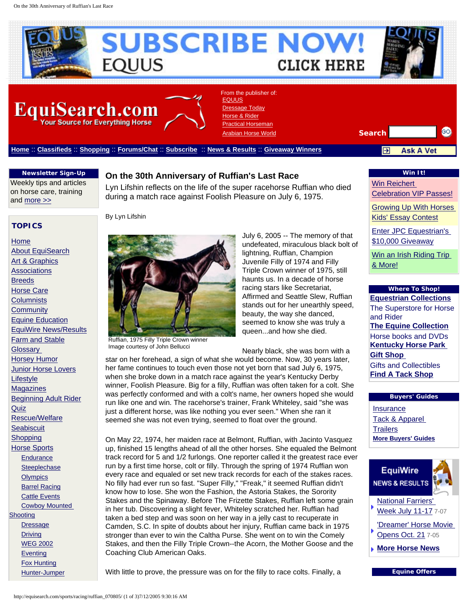<span id="page-1-0"></span>

#### **Newsletter Sign-Up**

Weekly tips and articles on horse care, training and [more >>](http://www.equisearch.com/newsletter_subscribe/)

## **On the 30th Anniversary of Ruffian's Last Race**

Lyn Lifshin reflects on the life of the super racehorse Ruffian who died during a match race against Foolish Pleasure on July 6, 1975.

#### **TOPICS**

[Home](http://equisearch.com/) [About EquiSearch](http://equisearch.com/about/) [Art & Graphics](http://equisearch.com/artgraphics/) **[Associations](http://equisearch.com/assoc/) [Breeds](http://equisearch.com/breeds/)** [Horse Care](http://equisearch.com/care/) **[Columnists](http://equisearch.com/columnists/) [Community](http://equisearch.com/community/)** [Equine Education](http://equisearch.com/education/) [EquiWire News/Results](http://equisearch.com/equiwire/) [Farm and Stable](http://equisearch.com/farm/) **[Glossary](http://equisearch.com/glossary/)** [Horsey Humor](http://equisearch.com/humor/) [Junior Horse Lovers](http://equisearch.com/juniors/) **[Lifestyle](http://equisearch.com/lifestyle/) [Magazines](http://equisearch.com/magazines/)** [Beginning Adult Rider](http://equisearch.com/novice/) **[Quiz](http://equisearch.com/quiz/)** [Rescue/Welfare](http://equisearch.com/rescue/) **[Seabiscuit](http://equisearch.com/seabiscuit/)** [Shopping](http://equisearch.com/shop/) [Horse Sports](http://equisearch.com/sports/) **[Endurance](http://equisearch.com/sports/endurance/) [Steeplechase](http://equisearch.com/sports/steeplechase/) [Olympics](http://equisearch.com/sports/olympics2004/)**  [Barrel Racing](http://equisearch.com/sports/barrel/) [Cattle Events](http://equisearch.com/sports/cattle/) [Cowboy Mounted](http://equisearch.com/sports/cowboyshooting/) **[Shooting](http://equisearch.com/sports/cowboyshooting/) [Dressage](http://equisearch.com/sports/dressage/) [Driving](http://equisearch.com/sports/driving/)**  [WEG 2002](http://equisearch.com/sports/weg/) **[Eventing](http://equisearch.com/sports/eventing/)**  [Fox Hunting](http://equisearch.com/sports/foxhunting/) [Hunter-Jumper](http://equisearch.com/sports/hunterjumper/)

By Lyn Lifshin



Image courtesy of John Bellucci

undefeated, miraculous black bolt of lightning, Ruffian, Champion Juvenile Filly of 1974 and Filly Triple Crown winner of 1975, still haunts us. In a decade of horse racing stars like Secretariat, Affirmed and Seattle Slew, Ruffian stands out for her unearthly speed, beauty, the way she danced, seemed to know she was truly a queen...and how she died.

July 6, 2005 -- The memory of that

Nearly black, she was born with a

star on her forehead, a sign of what she would become. Now, 30 years later, her fame continues to touch even those not yet born that sad July 6, 1975, when she broke down in a match race against the year's Kentucky Derby winner, Foolish Pleasure. Big for a filly, Ruffian was often taken for a colt. She was perfectly conformed and with a colt's name, her owners hoped she would run like one and win. The racehorse's trainer, Frank Whiteley, said "she was just a different horse, was like nothing you ever seen." When she ran it seemed she was not even trying, seemed to float over the ground.

On May 22, 1974, her maiden race at Belmont, Ruffian, with Jacinto Vasquez up, finished 15 lengths ahead of all the other horses. She equaled the Belmont track record for 5 and 1/2 furlongs. One reporter called it the greatest race ever run by a first time horse, colt or filly. Through the spring of 1974 Ruffian won every race and equaled or set new track records for each of the stakes races. No filly had ever run so fast. "Super Filly," "Freak," it seemed Ruffian didn't know how to lose. She won the Fashion, the Astoria Stakes, the Sorority Stakes and the Spinaway. Before The Frizette Stakes, Ruffian left some grain in her tub. Discovering a slight fever, Whiteley scratched her. Ruffian had taken a bed step and was soon on her way in a jelly cast to recuperate in Camden, S.C. In spite of doubts about her injury, Ruffian came back in 1975 stronger than ever to win the Caltha Purse. She went on to win the Comely Stakes, and then the Filly Triple Crown--the Acorn, the Mother Goose and the Coaching Club American Oaks.

With little to prove, the pressure was on for the filly to race colts. Finally, a

#### **Win It!**

[Win Reichert](http://www.equisearch.com/special/sweeps/reichert) 

[Celebration VIP Passes!](http://www.equisearch.com/special/sweeps/reichert)

[Growing Up With Horses](http://www.equisearch.com/special/sweeps/GUWH/index.html) [Kids' Essay Contest](http://www.equisearch.com/special/sweeps/GUWH/index.html)

[Enter JPC Equestrian's](http://www.breeches.com/jpcequestrian/giveaway/signup.htm) [\\$10,000 Giveaway](http://www.breeches.com/jpcequestrian/giveaway/signup.htm)

[Win an Irish Riding Trip](http://www.equisearch.com/special/sweeps/ireland) [& More!](http://www.equisearch.com/special/sweeps/ireland)

### **Where To Shop!**

**[Equestrian Collections](http://ad.doubleclick.net/clk;5636919;5985347;f?http://www.equestriancollections.com)** The Superstore for Horse and Rider **[The Equine Collection](http://ad.doubleclick.net/clk;5636925;5985347;c?http://www.theequinecollection.com)** Horse books and DVDs **[Kentucky Horse Park](http://ad.doubleclick.net/clk;8146745;5985347;b?http://www.kygiftshop.com/)  [Gift Shop](http://ad.doubleclick.net/clk;8146745;5985347;b?http://www.kygiftshop.com/)**  Gifts and Collectibles **[Find A Tack Shop](http://ad.doubleclick.net/clk;7607833;5985347;a?http://equisearchstore.com/tack_shops/index.php)**

#### **Buyers' Guides**

[Insurance](http://ad.doubleclick.net/clk;7489960;5985347;j?http://special.equisearch.com/insurance/index.htm) [Tack & Apparel](http://ad.doubleclick.net/clk;8609010;5985347;q?http://special.equisearch.com/tack_apparel/)  **[Trailers](http://ad.doubleclick.net/clk;7489956;5985347;o?http://special.equisearch.com/trailers/index.htm) [More Buyers' Guides](http://equisearch.com/shop/buyersguide)**



[Opens Oct. 21](http://www.equisearch.com/equiwire/news/dreamer_070505) 7-05

**[More Horse News](http://ad.doubleclick.net/clk;7322002;5985347;i?http://www.equisearch.com/equiwire/)**